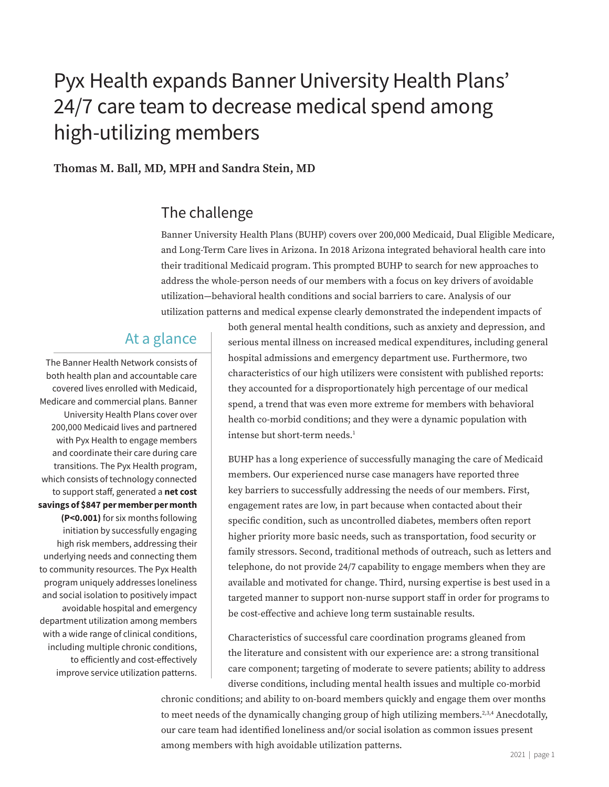# Pyx Health expands Banner University Health Plans' 24/7 care team to decrease medical spend among high-utilizing members

Thomas M. Ball, MD, MPH and Sandra Stein, MD

## The challenge

Banner University Health Plans (BUHP) covers over 200,000 Medicaid, Dual Eligible Medicare, and Long-Term Care lives in Arizona. In 2018 Arizona integrated behavioral health care into their traditional Medicaid program. This prompted BUHP to search for new approaches to address the whole-person needs of our members with a focus on key drivers of avoidable utilization—behavioral health conditions and social barriers to care. Analysis of our utilization patterns and medical expense clearly demonstrated the independent impacts of

### At a glance

The Banner Health Network consists of both health plan and accountable care covered lives enrolled with Medicaid, Medicare and commercial plans. Banner University Health Plans cover over 200,000 Medicaid lives and partnered with Pyx Health to engage members and coordinate their care during care transitions. The Pyx Health program, which consists of technology connected to support staff, generated a net cost savings of \$847 per member per month (P<0.001) for six months following initiation by successfully engaging high risk members, addressing their underlying needs and connecting them to community resources. The Pyx Health program uniquely addresses loneliness and social isolation to positively impact avoidable hospital and emergency department utilization among members with a wide range of clinical conditions, including multiple chronic conditions, to efficiently and cost-effectively improve service utilization patterns. both general mental health conditions, such as anxiety and depression, and serious mental illness on increased medical expenditures, including general hospital admissions and emergency department use. Furthermore, two characteristics of our high utilizers were consistent with published reports: they accounted for a disproportionately high percentage of our medical spend, a trend that was even more extreme for members with behavioral health co-morbid conditions; and they were a dynamic population with intense but short-term needs.<sup>1</sup>

BUHP has a long experience of successfully managing the care of Medicaid members. Our experienced nurse case managers have reported three key barriers to successfully addressing the needs of our members. First, engagement rates are low, in part because when contacted about their specific condition, such as uncontrolled diabetes, members often report higher priority more basic needs, such as transportation, food security or family stressors. Second, traditional methods of outreach, such as letters and telephone, do not provide 24/7 capability to engage members when they are available and motivated for change. Third, nursing expertise is best used in a targeted manner to support non-nurse support staff in order for programs to be cost-effective and achieve long term sustainable results.

Characteristics of successful care coordination programs gleaned from the literature and consistent with our experience are: a strong transitional care component; targeting of moderate to severe patients; ability to address diverse conditions, including mental health issues and multiple co-morbid

chronic conditions; and ability to on-board members quickly and engage them over months to meet needs of the dynamically changing group of high utilizing members.<sup>2,3,4</sup> Anecdotally, our care team had identified loneliness and/or social isolation as common issues present among members with high avoidable utilization patterns.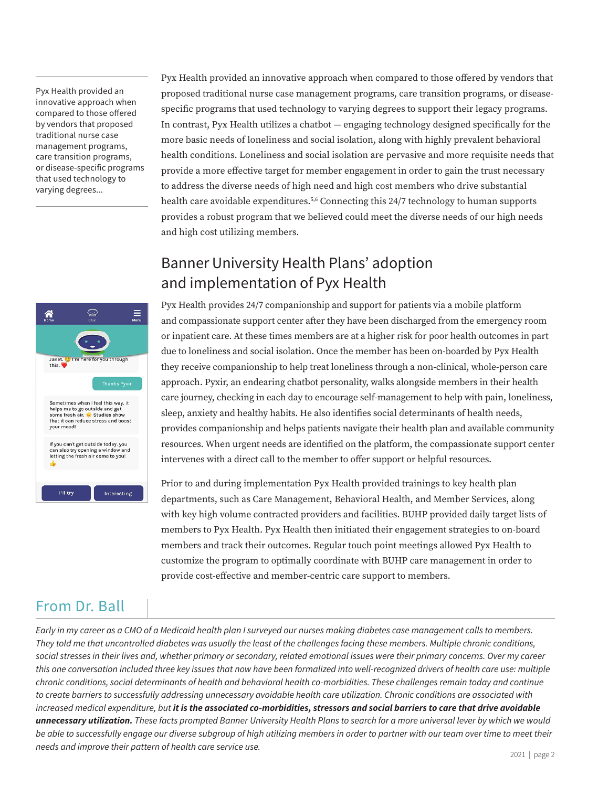Pyx Health provided an innovative approach when compared to those offered by vendors that proposed traditional nurse case management programs, care transition programs, or disease-specific programs that used technology to varying degrees...



Pyx Health provided an innovative approach when compared to those offered by vendors that proposed traditional nurse case management programs, care transition programs, or diseasespecific programs that used technology to varying degrees to support their legacy programs. In contrast, Pyx Health utilizes a chatbot — engaging technology designed specifically for the more basic needs of loneliness and social isolation, along with highly prevalent behavioral health conditions. Loneliness and social isolation are pervasive and more requisite needs that provide a more effective target for member engagement in order to gain the trust necessary to address the diverse needs of high need and high cost members who drive substantial health care avoidable expenditures.<sup>5,6</sup> Connecting this 24/7 technology to human supports provides a robust program that we believed could meet the diverse needs of our high needs and high cost utilizing members.

## Banner University Health Plans' adoption and implementation of Pyx Health

Pyx Health provides 24/7 companionship and support for patients via a mobile platform and compassionate support center after they have been discharged from the emergency room or inpatient care. At these times members are at a higher risk for poor health outcomes in part due to loneliness and social isolation. Once the member has been on-boarded by Pyx Health they receive companionship to help treat loneliness through a non-clinical, whole-person care approach. Pyxir, an endearing chatbot personality, walks alongside members in their health care journey, checking in each day to encourage self-management to help with pain, loneliness, sleep, anxiety and healthy habits. He also identifies social determinants of health needs, provides companionship and helps patients navigate their health plan and available community resources. When urgent needs are identified on the platform, the compassionate support center intervenes with a direct call to the member to offer support or helpful resources.

Prior to and during implementation Pyx Health provided trainings to key health plan departments, such as Care Management, Behavioral Health, and Member Services, along with key high volume contracted providers and facilities. BUHP provided daily target lists of members to Pyx Health. Pyx Health then initiated their engagement strategies to on-board members and track their outcomes. Regular touch point meetings allowed Pyx Health to customize the program to optimally coordinate with BUHP care management in order to provide cost-effective and member-centric care support to members.

## From Dr. Ball

*Early in my career as a CMO of a Medicaid health plan I surveyed our nurses making diabetes case management calls to members. They told me that uncontrolled diabetes was usually the least of the challenges facing these members. Multiple chronic conditions, social stresses in their lives and, whether primary or secondary, related emotional issues were their primary concerns. Over my career this one conversation included three key issues that now have been formalized into well-recognized drivers of health care use: multiple chronic conditions, social determinants of health and behavioral health co-morbidities. These challenges remain today and continue to create barriers to successfully addressing unnecessary avoidable health care utilization. Chronic conditions are associated with increased medical expenditure, but it is the associated co-morbidities, stressors and social barriers to care that drive avoidable unnecessary utilization. These facts prompted Banner University Health Plans to search for a more universal lever by which we would be able to successfully engage our diverse subgroup of high utilizing members in order to partner with our team over time to meet their needs and improve their pattern of health care service use.*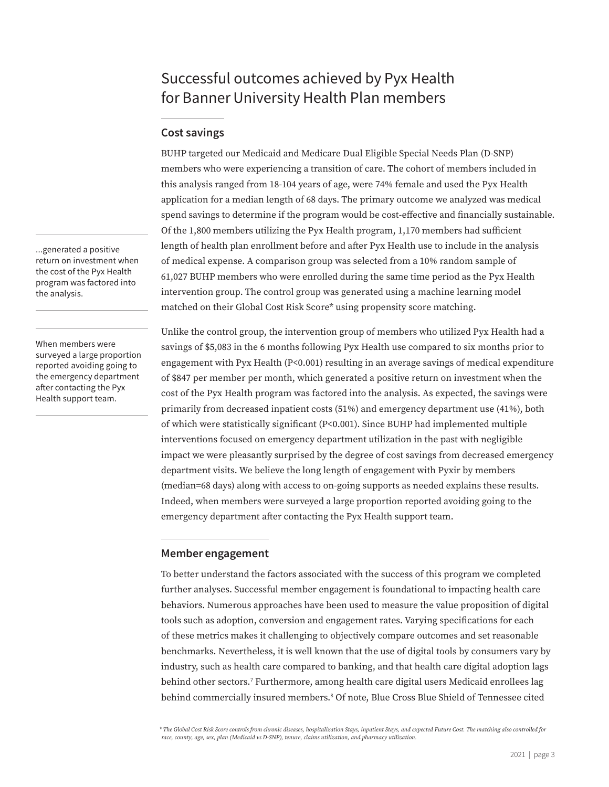## Successful outcomes achieved by Pyx Health for Banner University Health Plan members

#### Cost savings

BUHP targeted our Medicaid and Medicare Dual Eligible Special Needs Plan (D-SNP) members who were experiencing a transition of care. The cohort of members included in this analysis ranged from 18-104 years of age, were 74% female and used the Pyx Health application for a median length of 68 days. The primary outcome we analyzed was medical spend savings to determine if the program would be cost-effective and financially sustainable. Of the 1,800 members utilizing the Pyx Health program, 1,170 members had sufficient length of health plan enrollment before and after Pyx Health use to include in the analysis of medical expense. A comparison group was selected from a 10% random sample of 61,027 BUHP members who were enrolled during the same time period as the Pyx Health intervention group. The control group was generated using a machine learning model matched on their Global Cost Risk Score\* using propensity score matching.

Unlike the control group, the intervention group of members who utilized Pyx Health had a savings of \$5,083 in the 6 months following Pyx Health use compared to six months prior to engagement with Pyx Health (P<0.001) resulting in an average savings of medical expenditure of \$847 per member per month, which generated a positive return on investment when the cost of the Pyx Health program was factored into the analysis. As expected, the savings were primarily from decreased inpatient costs (51%) and emergency department use (41%), both of which were statistically significant (P<0.001). Since BUHP had implemented multiple interventions focused on emergency department utilization in the past with negligible impact we were pleasantly surprised by the degree of cost savings from decreased emergency department visits. We believe the long length of engagement with Pyxir by members (median=68 days) along with access to on-going supports as needed explains these results. Indeed, when members were surveyed a large proportion reported avoiding going to the emergency department after contacting the Pyx Health support team.

#### Member engagement

To better understand the factors associated with the success of this program we completed further analyses. Successful member engagement is foundational to impacting health care behaviors. Numerous approaches have been used to measure the value proposition of digital tools such as adoption, conversion and engagement rates. Varying specifications for each of these metrics makes it challenging to objectively compare outcomes and set reasonable benchmarks. Nevertheless, it is well known that the use of digital tools by consumers vary by industry, such as health care compared to banking, and that health care digital adoption lags behind other sectors.7 Furthermore, among health care digital users Medicaid enrollees lag behind commercially insured members.8 Of note, Blue Cross Blue Shield of Tennessee cited

*\* The Global Cost Risk Score controls from chronic diseases, hospitalization Stays, inpatient Stays, and expected Future Cost. The matching also controlled for race, county, age, sex, plan (Medicaid vs D-SNP), tenure, claims utilization, and pharmacy utilization.*

...generated a positive return on investment when the cost of the Pyx Health program was factored into the analysis.

When members were surveyed a large proportion reported avoiding going to the emergency department after contacting the Pyx Health support team.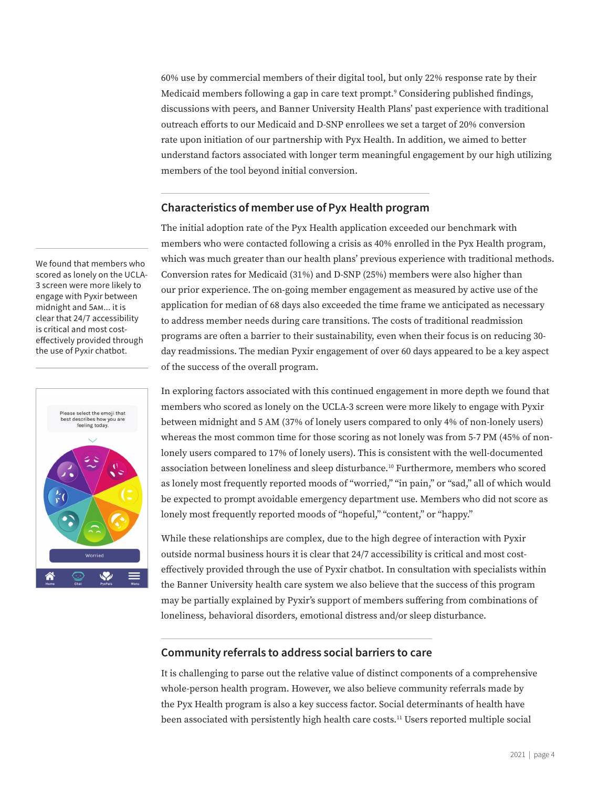60% use by commercial members of their digital tool, but only 22% response rate by their Medicaid members following a gap in care text prompt.9 Considering published findings, discussions with peers, and Banner University Health Plans' past experience with traditional outreach efforts to our Medicaid and D-SNP enrollees we set a target of 20% conversion rate upon initiation of our partnership with Pyx Health. In addition, we aimed to better understand factors associated with longer term meaningful engagement by our high utilizing members of the tool beyond initial conversion.

#### Characteristics of member use of Pyx Health program

The initial adoption rate of the Pyx Health application exceeded our benchmark with members who were contacted following a crisis as 40% enrolled in the Pyx Health program, which was much greater than our health plans' previous experience with traditional methods. Conversion rates for Medicaid (31%) and D-SNP (25%) members were also higher than our prior experience. The on-going member engagement as measured by active use of the application for median of 68 days also exceeded the time frame we anticipated as necessary to address member needs during care transitions. The costs of traditional readmission programs are often a barrier to their sustainability, even when their focus is on reducing 30 day readmissions. The median Pyxir engagement of over 60 days appeared to be a key aspect of the success of the overall program.

In exploring factors associated with this continued engagement in more depth we found that members who scored as lonely on the UCLA-3 screen were more likely to engage with Pyxir between midnight and 5 AM (37% of lonely users compared to only 4% of non-lonely users) whereas the most common time for those scoring as not lonely was from 5-7 PM (45% of nonlonely users compared to 17% of lonely users). This is consistent with the well-documented association between loneliness and sleep disturbance.10 Furthermore, members who scored as lonely most frequently reported moods of "worried," "in pain," or "sad," all of which would be expected to prompt avoidable emergency department use. Members who did not score as lonely most frequently reported moods of "hopeful," "content," or "happy."

While these relationships are complex, due to the high degree of interaction with Pyxir outside normal business hours it is clear that 24/7 accessibility is critical and most costeffectively provided through the use of Pyxir chatbot. In consultation with specialists within the Banner University health care system we also believe that the success of this program may be partially explained by Pyxir's support of members suffering from combinations of loneliness, behavioral disorders, emotional distress and/or sleep disturbance.

#### Community referrals to address social barriers to care

It is challenging to parse out the relative value of distinct components of a comprehensive whole-person health program. However, we also believe community referrals made by the Pyx Health program is also a key success factor. Social determinants of health have been associated with persistently high health care costs.11 Users reported multiple social

We found that members who scored as lonely on the UCLA-3 screen were more likely to engage with Pyxir between midnight and 5am... it is clear that 24/7 accessibility is critical and most costeffectively provided through the use of Pyxir chatbot.

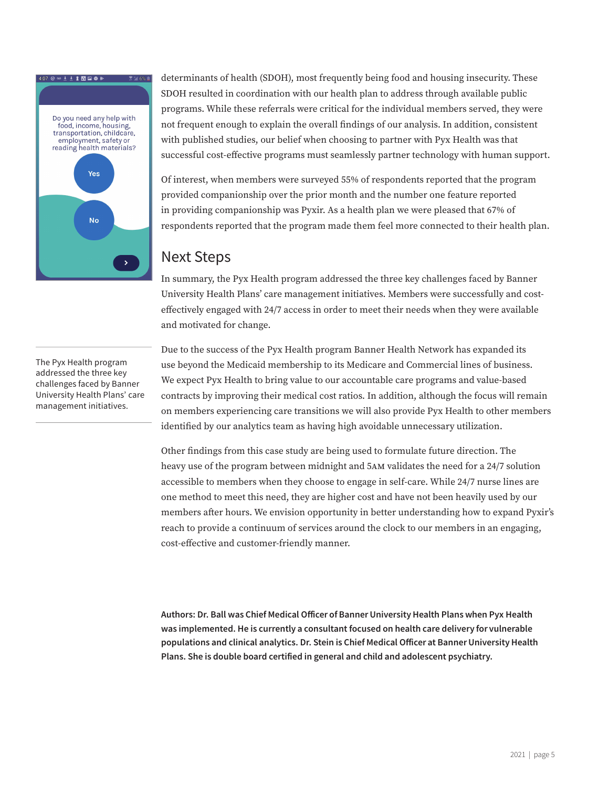

determinants of health (SDOH), most frequently being food and housing insecurity. These SDOH resulted in coordination with our health plan to address through available public programs. While these referrals were critical for the individual members served, they were not frequent enough to explain the overall findings of our analysis. In addition, consistent with published studies, our belief when choosing to partner with Pyx Health was that successful cost-effective programs must seamlessly partner technology with human support.

Of interest, when members were surveyed 55% of respondents reported that the program provided companionship over the prior month and the number one feature reported in providing companionship was Pyxir. As a health plan we were pleased that 67% of respondents reported that the program made them feel more connected to their health plan.

### Next Steps

In summary, the Pyx Health program addressed the three key challenges faced by Banner University Health Plans' care management initiatives. Members were successfully and costeffectively engaged with 24/7 access in order to meet their needs when they were available and motivated for change.

The Pyx Health program addressed the three key challenges faced by Banner University Health Plans' care management initiatives.

Due to the success of the Pyx Health program Banner Health Network has expanded its use beyond the Medicaid membership to its Medicare and Commercial lines of business. We expect Pyx Health to bring value to our accountable care programs and value-based contracts by improving their medical cost ratios. In addition, although the focus will remain on members experiencing care transitions we will also provide Pyx Health to other members identified by our analytics team as having high avoidable unnecessary utilization.

Other findings from this case study are being used to formulate future direction. The heavy use of the program between midnight and 5am validates the need for a 24/7 solution accessible to members when they choose to engage in self-care. While 24/7 nurse lines are one method to meet this need, they are higher cost and have not been heavily used by our members after hours. We envision opportunity in better understanding how to expand Pyxir's reach to provide a continuum of services around the clock to our members in an engaging, cost-effective and customer-friendly manner.

Authors: Dr. Ball was Chief Medical Officer of Banner University Health Plans when Pyx Health was implemented. He is currently a consultant focused on health care delivery for vulnerable populations and clinical analytics. Dr. Stein is Chief Medical Officer at Banner University Health Plans. She is double board certified in general and child and adolescent psychiatry.